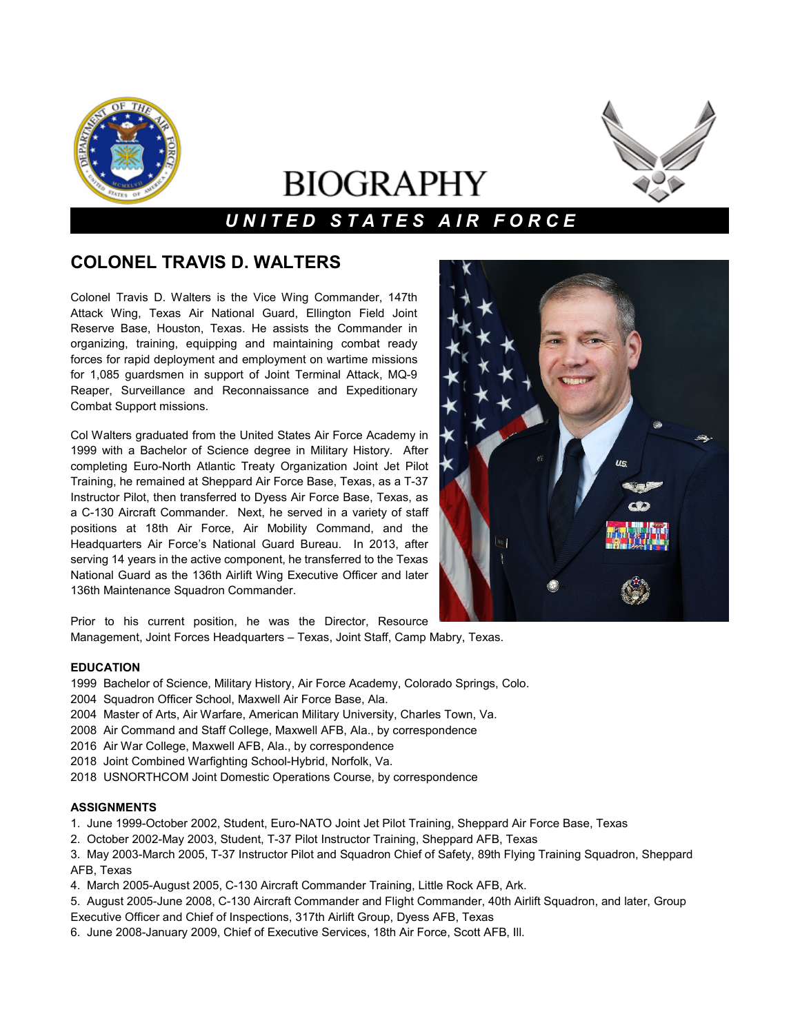

# **BIOGRAPHY**

# *U N I T E D S T A T E S A I R F O R C E*

## **COLONEL TRAVIS D. WALTERS**

Colonel Travis D. Walters is the Vice Wing Commander, 147th Attack Wing, Texas Air National Guard, Ellington Field Joint Reserve Base, Houston, Texas. He assists the Commander in organizing, training, equipping and maintaining combat ready forces for rapid deployment and employment on wartime missions for 1,085 guardsmen in support of Joint Terminal Attack, MQ-9 Reaper, Surveillance and Reconnaissance and Expeditionary Combat Support missions.

Col Walters graduated from the United States Air Force Academy in 1999 with a Bachelor of Science degree in Military History. After completing Euro-North Atlantic Treaty Organization Joint Jet Pilot Training, he remained at Sheppard Air Force Base, Texas, as a T-37 Instructor Pilot, then transferred to Dyess Air Force Base, Texas, as a C-130 Aircraft Commander. Next, he served in a variety of staff positions at 18th Air Force, Air Mobility Command, and the Headquarters Air Force's National Guard Bureau. In 2013, after serving 14 years in the active component, he transferred to the Texas National Guard as the 136th Airlift Wing Executive Officer and later 136th Maintenance Squadron Commander.



Prior to his current position, he was the Director, Resource Management, Joint Forces Headquarters – Texas, Joint Staff, Camp Mabry, Texas.

### **EDUCATION**

- 1999 Bachelor of Science, Military History, Air Force Academy, Colorado Springs, Colo.
- 2004 Squadron Officer School, Maxwell Air Force Base, Ala.
- 2004 Master of Arts, Air Warfare, American Military University, Charles Town, Va.
- 2008 Air Command and Staff College, Maxwell AFB, Ala., by correspondence
- 2016 Air War College, Maxwell AFB, Ala., by correspondence
- 2018 Joint Combined Warfighting School-Hybrid, Norfolk, Va.
- 2018 USNORTHCOM Joint Domestic Operations Course, by correspondence

### **ASSIGNMENTS**

- 1. June 1999-October 2002, Student, Euro-NATO Joint Jet Pilot Training, Sheppard Air Force Base, Texas
- 2. October 2002-May 2003, Student, T-37 Pilot Instructor Training, Sheppard AFB, Texas
- 3. May 2003-March 2005, T-37 Instructor Pilot and Squadron Chief of Safety, 89th Flying Training Squadron, Sheppard AFB, Texas
- 4. March 2005-August 2005, C-130 Aircraft Commander Training, Little Rock AFB, Ark.
- 5. August 2005-June 2008, C-130 Aircraft Commander and Flight Commander, 40th Airlift Squadron, and later, Group Executive Officer and Chief of Inspections, 317th Airlift Group, Dyess AFB, Texas
- 6. June 2008-January 2009, Chief of Executive Services, 18th Air Force, Scott AFB, Ill.